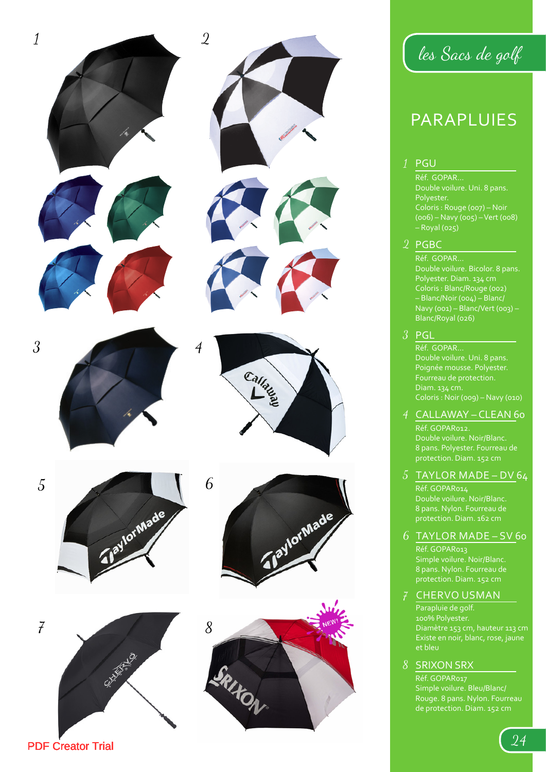

les Sacs de golf

# PARAPLUIES

# PGU

Réf. GOPAR... Double voilure. Uni. 8 pans. Polyester. Coloris : Rouge (007) – Noir (006) – Navy (005) – Vert (008) – Royal (025)

# 2 PGBC

Réf. GOPAR... Coloris : Blanc/Rouge (002) – Blanc/Noir (004) – Blanc/ Navy (001) – Blanc/Vert (003) – Blanc/Royal (026)

# $3$  PGL

Réf. GOPAR... Double voilure. Uni. 8 pans. Poignée mousse. Polyester. Fourreau de protection. Diam. 134 cm. Coloris : Noir (009) – Navy (010)

# CALLAWAY – CLEAN 60 1<br>2<br>3<br>4

Réf. GOPAR012. 8 pans. Polyester. Fourreau de protection. Diam. 152 cm

# $5$  TAYLOR MADE – DV 64

Réf. GOPAR014 Double voilure. Noir/Blanc. 8 pans. Nylon. Fourreau de protection. Diam. 162 cm

# TAYLOR MADE – SV 60 6<br>7

Réf. GOPAR013 Simple voilure. Noir/Blanc. 8 pans. Nylon. Fourreau de protection. Diam. 152 cm

# CHERVO USMAN

Parapluie de golf. Diamètre 153 cm, hauteur 113 cm Existe en noir, blanc, rose, jaune et bleu

# 8 SRIXON SRX

Réf. GOPAR017 Rouge. 8 pans. Nylon. Fourreau de protection. Diam. 152 cm